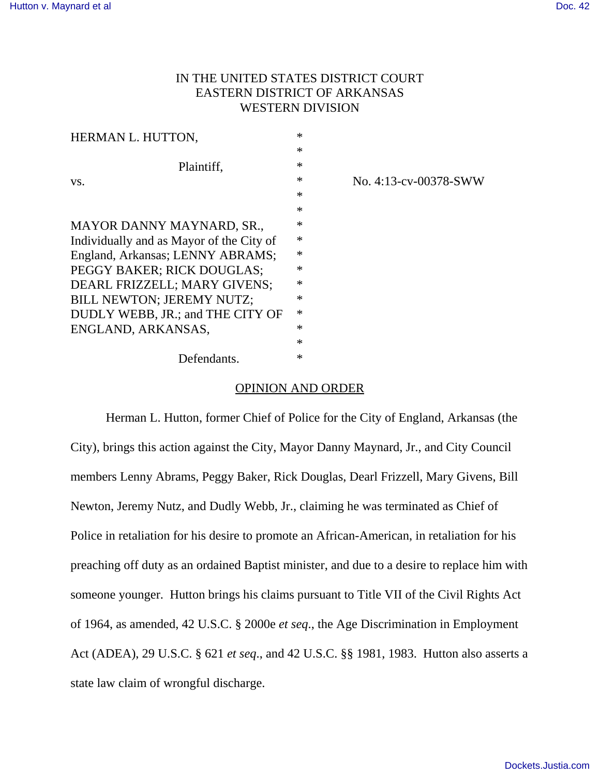# IN THE UNITED STATES DISTRICT COURT EASTERN DISTRICT OF ARKANSAS WESTERN DIVISION

| HERMAN L. HUTTON,                        | $\ast$ |                       |
|------------------------------------------|--------|-----------------------|
|                                          | $\ast$ |                       |
| Plaintiff,                               | $\ast$ |                       |
| VS.                                      | $\ast$ | No. 4:13-cv-00378-SWW |
|                                          | $\ast$ |                       |
|                                          | $\ast$ |                       |
| MAYOR DANNY MAYNARD, SR.,                | $\ast$ |                       |
| Individually and as Mayor of the City of | $\ast$ |                       |
| England, Arkansas; LENNY ABRAMS;         | $\ast$ |                       |
| PEGGY BAKER; RICK DOUGLAS;               | $\ast$ |                       |
| DEARL FRIZZELL; MARY GIVENS;             | ∗      |                       |
| <b>BILL NEWTON; JEREMY NUTZ;</b>         | $\ast$ |                       |
| DUDLY WEBB, JR.; and THE CITY OF         | *      |                       |
| ENGLAND, ARKANSAS,                       | ∗      |                       |
|                                          | $\ast$ |                       |
| Defendants.                              | $\ast$ |                       |

### OPINION AND ORDER

Herman L. Hutton, former Chief of Police for the City of England, Arkansas (the City), brings this action against the City, Mayor Danny Maynard, Jr., and City Council members Lenny Abrams, Peggy Baker, Rick Douglas, Dearl Frizzell, Mary Givens, Bill Newton, Jeremy Nutz, and Dudly Webb, Jr., claiming he was terminated as Chief of Police in retaliation for his desire to promote an African-American, in retaliation for his preaching off duty as an ordained Baptist minister, and due to a desire to replace him with someone younger. Hutton brings his claims pursuant to Title VII of the Civil Rights Act of 1964, as amended, 42 U.S.C. § 2000e *et seq*., the Age Discrimination in Employment Act (ADEA), 29 U.S.C. § 621 *et seq*., and 42 U.S.C. §§ 1981, 1983. Hutton also asserts a state law claim of wrongful discharge.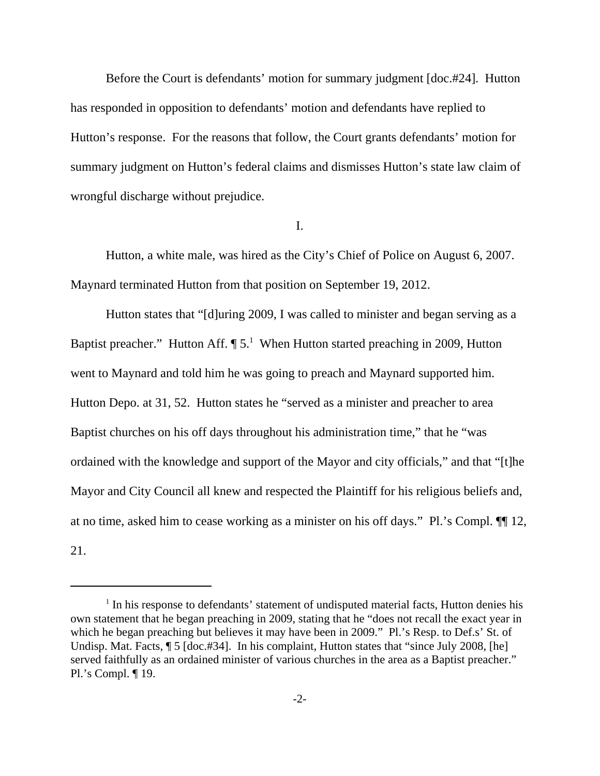Before the Court is defendants' motion for summary judgment [doc.#24]. Hutton has responded in opposition to defendants' motion and defendants have replied to Hutton's response. For the reasons that follow, the Court grants defendants' motion for summary judgment on Hutton's federal claims and dismisses Hutton's state law claim of wrongful discharge without prejudice.

I.

Hutton, a white male, was hired as the City's Chief of Police on August 6, 2007. Maynard terminated Hutton from that position on September 19, 2012.

Hutton states that "[d]uring 2009, I was called to minister and began serving as a Baptist preacher." Hutton Aff.  $\P 5$ . When Hutton started preaching in 2009, Hutton went to Maynard and told him he was going to preach and Maynard supported him. Hutton Depo. at 31, 52. Hutton states he "served as a minister and preacher to area Baptist churches on his off days throughout his administration time," that he "was ordained with the knowledge and support of the Mayor and city officials," and that "[t]he Mayor and City Council all knew and respected the Plaintiff for his religious beliefs and, at no time, asked him to cease working as a minister on his off days." Pl.'s Compl. ¶¶ 12, 21.

<sup>&</sup>lt;sup>1</sup> In his response to defendants' statement of undisputed material facts, Hutton denies his own statement that he began preaching in 2009, stating that he "does not recall the exact year in which he began preaching but believes it may have been in 2009." Pl.'s Resp. to Def.s' St. of Undisp. Mat. Facts,  $\sqrt{5}$  [doc.#34]. In his complaint, Hutton states that "since July 2008, [he] served faithfully as an ordained minister of various churches in the area as a Baptist preacher." Pl.'s Compl. ¶ 19.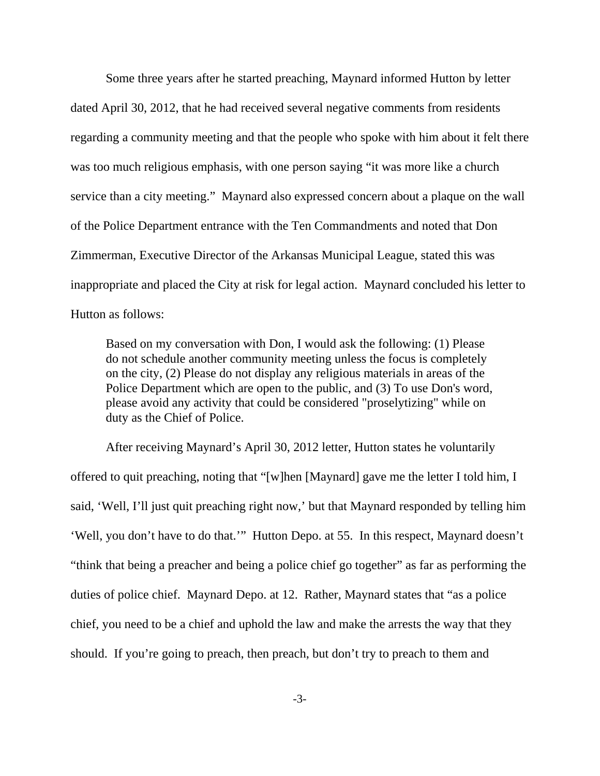Some three years after he started preaching, Maynard informed Hutton by letter dated April 30, 2012, that he had received several negative comments from residents regarding a community meeting and that the people who spoke with him about it felt there was too much religious emphasis, with one person saying "it was more like a church service than a city meeting." Maynard also expressed concern about a plaque on the wall of the Police Department entrance with the Ten Commandments and noted that Don Zimmerman, Executive Director of the Arkansas Municipal League, stated this was inappropriate and placed the City at risk for legal action. Maynard concluded his letter to Hutton as follows:

Based on my conversation with Don, I would ask the following: (1) Please do not schedule another community meeting unless the focus is completely on the city, (2) Please do not display any religious materials in areas of the Police Department which are open to the public, and (3) To use Don's word, please avoid any activity that could be considered "proselytizing" while on duty as the Chief of Police.

After receiving Maynard's April 30, 2012 letter, Hutton states he voluntarily offered to quit preaching, noting that "[w]hen [Maynard] gave me the letter I told him, I said, 'Well, I'll just quit preaching right now,' but that Maynard responded by telling him 'Well, you don't have to do that.'" Hutton Depo. at 55. In this respect, Maynard doesn't "think that being a preacher and being a police chief go together" as far as performing the duties of police chief. Maynard Depo. at 12. Rather, Maynard states that "as a police chief, you need to be a chief and uphold the law and make the arrests the way that they should. If you're going to preach, then preach, but don't try to preach to them and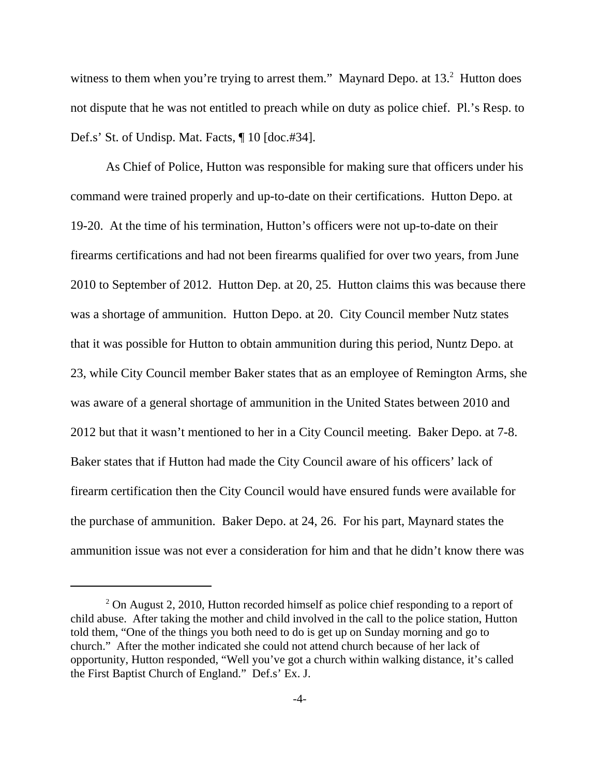witness to them when you're trying to arrest them." Maynard Depo. at  $13.<sup>2</sup>$  Hutton does not dispute that he was not entitled to preach while on duty as police chief. Pl.'s Resp. to Def.s' St. of Undisp. Mat. Facts, ¶ 10 [doc.#34].

As Chief of Police, Hutton was responsible for making sure that officers under his command were trained properly and up-to-date on their certifications. Hutton Depo. at 19-20. At the time of his termination, Hutton's officers were not up-to-date on their firearms certifications and had not been firearms qualified for over two years, from June 2010 to September of 2012. Hutton Dep. at 20, 25. Hutton claims this was because there was a shortage of ammunition. Hutton Depo. at 20. City Council member Nutz states that it was possible for Hutton to obtain ammunition during this period, Nuntz Depo. at 23, while City Council member Baker states that as an employee of Remington Arms, she was aware of a general shortage of ammunition in the United States between 2010 and 2012 but that it wasn't mentioned to her in a City Council meeting. Baker Depo. at 7-8. Baker states that if Hutton had made the City Council aware of his officers' lack of firearm certification then the City Council would have ensured funds were available for the purchase of ammunition. Baker Depo. at 24, 26. For his part, Maynard states the ammunition issue was not ever a consideration for him and that he didn't know there was

 $2$  On August 2, 2010, Hutton recorded himself as police chief responding to a report of child abuse. After taking the mother and child involved in the call to the police station, Hutton told them, "One of the things you both need to do is get up on Sunday morning and go to church." After the mother indicated she could not attend church because of her lack of opportunity, Hutton responded, "Well you've got a church within walking distance, it's called the First Baptist Church of England." Def.s' Ex. J.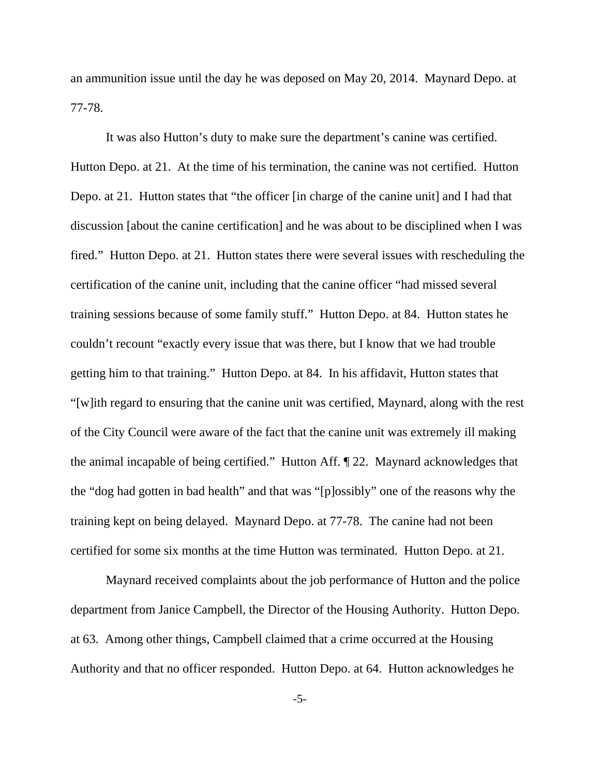an ammunition issue until the day he was deposed on May 20, 2014. Maynard Depo. at 77-78.

It was also Hutton's duty to make sure the department's canine was certified. Hutton Depo. at 21. At the time of his termination, the canine was not certified. Hutton Depo. at 21. Hutton states that "the officer [in charge of the canine unit] and I had that discussion [about the canine certification] and he was about to be disciplined when I was fired." Hutton Depo. at 21. Hutton states there were several issues with rescheduling the certification of the canine unit, including that the canine officer "had missed several training sessions because of some family stuff." Hutton Depo. at 84. Hutton states he couldn't recount "exactly every issue that was there, but I know that we had trouble getting him to that training." Hutton Depo. at 84. In his affidavit, Hutton states that "[w]ith regard to ensuring that the canine unit was certified, Maynard, along with the rest of the City Council were aware of the fact that the canine unit was extremely ill making the animal incapable of being certified." Hutton Aff. ¶ 22. Maynard acknowledges that the "dog had gotten in bad health" and that was "[p]ossibly" one of the reasons why the training kept on being delayed. Maynard Depo. at 77-78. The canine had not been certified for some six months at the time Hutton was terminated. Hutton Depo. at 21.

Maynard received complaints about the job performance of Hutton and the police department from Janice Campbell, the Director of the Housing Authority. Hutton Depo. at 63. Among other things, Campbell claimed that a crime occurred at the Housing Authority and that no officer responded. Hutton Depo. at 64. Hutton acknowledges he

-5-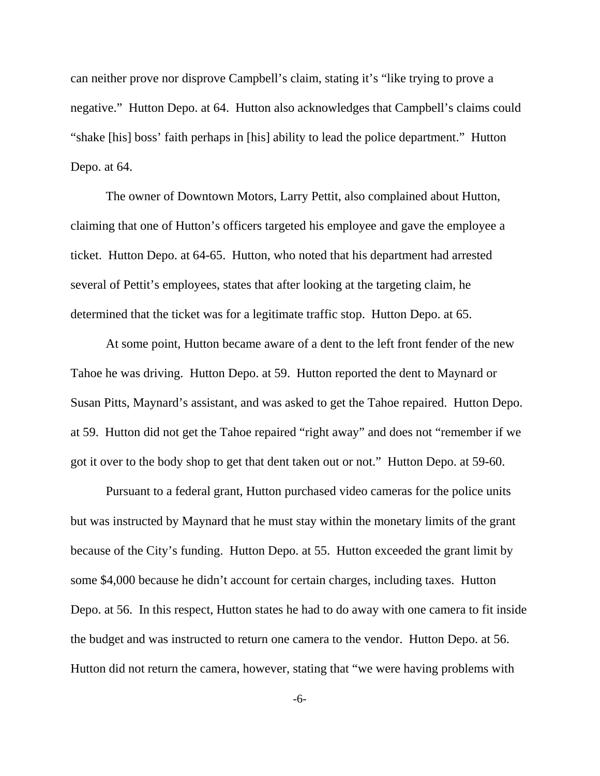can neither prove nor disprove Campbell's claim, stating it's "like trying to prove a negative." Hutton Depo. at 64. Hutton also acknowledges that Campbell's claims could "shake [his] boss' faith perhaps in [his] ability to lead the police department." Hutton Depo. at 64.

The owner of Downtown Motors, Larry Pettit, also complained about Hutton, claiming that one of Hutton's officers targeted his employee and gave the employee a ticket. Hutton Depo. at 64-65. Hutton, who noted that his department had arrested several of Pettit's employees, states that after looking at the targeting claim, he determined that the ticket was for a legitimate traffic stop. Hutton Depo. at 65.

At some point, Hutton became aware of a dent to the left front fender of the new Tahoe he was driving. Hutton Depo. at 59. Hutton reported the dent to Maynard or Susan Pitts, Maynard's assistant, and was asked to get the Tahoe repaired. Hutton Depo. at 59. Hutton did not get the Tahoe repaired "right away" and does not "remember if we got it over to the body shop to get that dent taken out or not." Hutton Depo. at 59-60.

Pursuant to a federal grant, Hutton purchased video cameras for the police units but was instructed by Maynard that he must stay within the monetary limits of the grant because of the City's funding. Hutton Depo. at 55. Hutton exceeded the grant limit by some \$4,000 because he didn't account for certain charges, including taxes. Hutton Depo. at 56. In this respect, Hutton states he had to do away with one camera to fit inside the budget and was instructed to return one camera to the vendor. Hutton Depo. at 56. Hutton did not return the camera, however, stating that "we were having problems with

-6-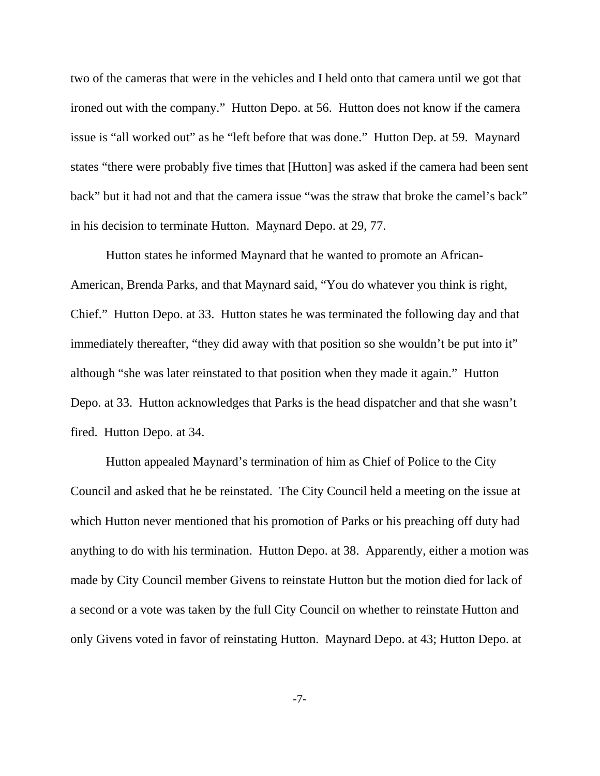two of the cameras that were in the vehicles and I held onto that camera until we got that ironed out with the company." Hutton Depo. at 56. Hutton does not know if the camera issue is "all worked out" as he "left before that was done." Hutton Dep. at 59. Maynard states "there were probably five times that [Hutton] was asked if the camera had been sent back" but it had not and that the camera issue "was the straw that broke the camel's back" in his decision to terminate Hutton. Maynard Depo. at 29, 77.

Hutton states he informed Maynard that he wanted to promote an African-American, Brenda Parks, and that Maynard said, "You do whatever you think is right, Chief." Hutton Depo. at 33. Hutton states he was terminated the following day and that immediately thereafter, "they did away with that position so she wouldn't be put into it" although "she was later reinstated to that position when they made it again." Hutton Depo. at 33. Hutton acknowledges that Parks is the head dispatcher and that she wasn't fired. Hutton Depo. at 34.

Hutton appealed Maynard's termination of him as Chief of Police to the City Council and asked that he be reinstated. The City Council held a meeting on the issue at which Hutton never mentioned that his promotion of Parks or his preaching off duty had anything to do with his termination. Hutton Depo. at 38. Apparently, either a motion was made by City Council member Givens to reinstate Hutton but the motion died for lack of a second or a vote was taken by the full City Council on whether to reinstate Hutton and only Givens voted in favor of reinstating Hutton. Maynard Depo. at 43; Hutton Depo. at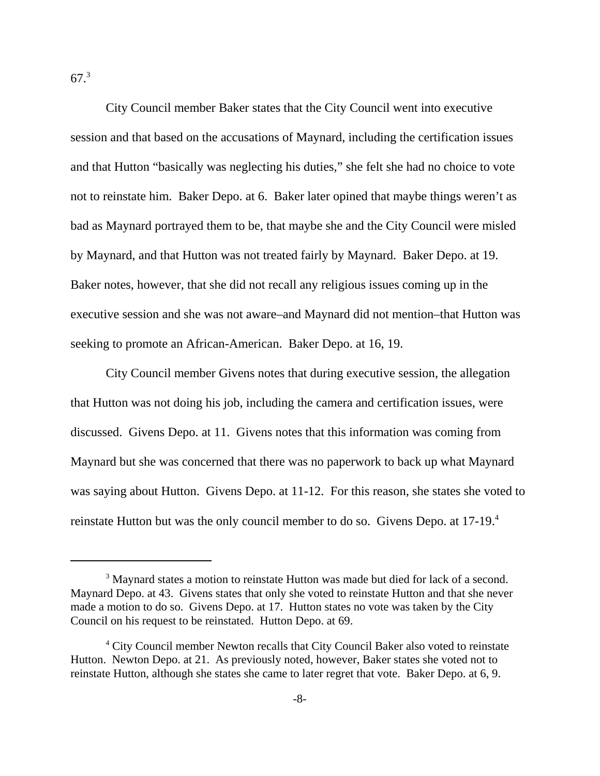67.<sup>3</sup>

City Council member Baker states that the City Council went into executive session and that based on the accusations of Maynard, including the certification issues and that Hutton "basically was neglecting his duties," she felt she had no choice to vote not to reinstate him. Baker Depo. at 6. Baker later opined that maybe things weren't as bad as Maynard portrayed them to be, that maybe she and the City Council were misled by Maynard, and that Hutton was not treated fairly by Maynard. Baker Depo. at 19. Baker notes, however, that she did not recall any religious issues coming up in the executive session and she was not aware–and Maynard did not mention–that Hutton was seeking to promote an African-American. Baker Depo. at 16, 19.

City Council member Givens notes that during executive session, the allegation that Hutton was not doing his job, including the camera and certification issues, were discussed. Givens Depo. at 11. Givens notes that this information was coming from Maynard but she was concerned that there was no paperwork to back up what Maynard was saying about Hutton. Givens Depo. at 11-12. For this reason, she states she voted to reinstate Hutton but was the only council member to do so. Givens Depo. at 17-19.<sup>4</sup>

<sup>&</sup>lt;sup>3</sup> Maynard states a motion to reinstate Hutton was made but died for lack of a second. Maynard Depo. at 43. Givens states that only she voted to reinstate Hutton and that she never made a motion to do so. Givens Depo. at 17. Hutton states no vote was taken by the City Council on his request to be reinstated. Hutton Depo. at 69.

<sup>&</sup>lt;sup>4</sup> City Council member Newton recalls that City Council Baker also voted to reinstate Hutton. Newton Depo. at 21. As previously noted, however, Baker states she voted not to reinstate Hutton, although she states she came to later regret that vote. Baker Depo. at 6, 9.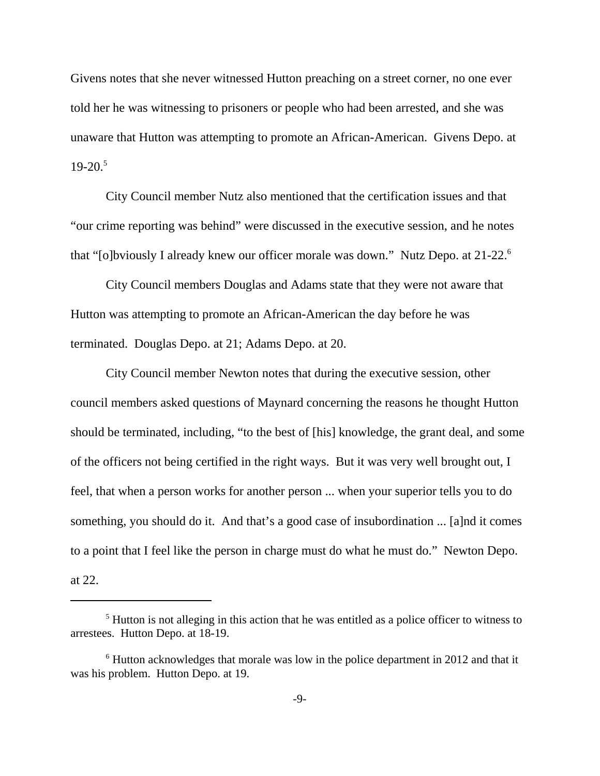Givens notes that she never witnessed Hutton preaching on a street corner, no one ever told her he was witnessing to prisoners or people who had been arrested, and she was unaware that Hutton was attempting to promote an African-American. Givens Depo. at  $19-20.<sup>5</sup>$ 

City Council member Nutz also mentioned that the certification issues and that "our crime reporting was behind" were discussed in the executive session, and he notes that "[o]bviously I already knew our officer morale was down." Nutz Depo. at 21-22.<sup>6</sup>

City Council members Douglas and Adams state that they were not aware that Hutton was attempting to promote an African-American the day before he was terminated. Douglas Depo. at 21; Adams Depo. at 20.

City Council member Newton notes that during the executive session, other council members asked questions of Maynard concerning the reasons he thought Hutton should be terminated, including, "to the best of [his] knowledge, the grant deal, and some of the officers not being certified in the right ways. But it was very well brought out, I feel, that when a person works for another person ... when your superior tells you to do something, you should do it. And that's a good case of insubordination ... [a]nd it comes to a point that I feel like the person in charge must do what he must do." Newton Depo. at 22.

<sup>&</sup>lt;sup>5</sup> Hutton is not alleging in this action that he was entitled as a police officer to witness to arrestees. Hutton Depo. at 18-19.

 $6$  Hutton acknowledges that morale was low in the police department in 2012 and that it was his problem. Hutton Depo. at 19.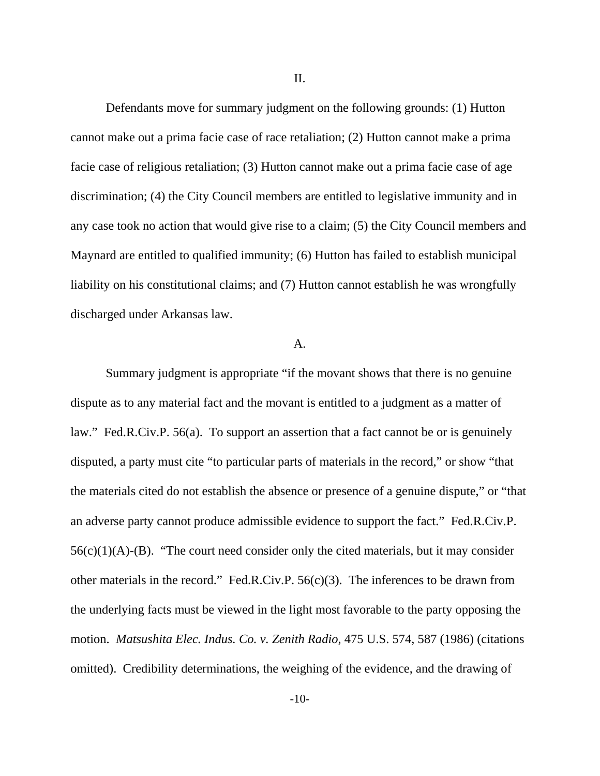II.

Defendants move for summary judgment on the following grounds: (1) Hutton cannot make out a prima facie case of race retaliation; (2) Hutton cannot make a prima facie case of religious retaliation; (3) Hutton cannot make out a prima facie case of age discrimination; (4) the City Council members are entitled to legislative immunity and in any case took no action that would give rise to a claim; (5) the City Council members and Maynard are entitled to qualified immunity; (6) Hutton has failed to establish municipal liability on his constitutional claims; and (7) Hutton cannot establish he was wrongfully discharged under Arkansas law.

#### A.

Summary judgment is appropriate "if the movant shows that there is no genuine dispute as to any material fact and the movant is entitled to a judgment as a matter of law." Fed.R.Civ.P. 56(a). To support an assertion that a fact cannot be or is genuinely disputed, a party must cite "to particular parts of materials in the record," or show "that the materials cited do not establish the absence or presence of a genuine dispute," or "that an adverse party cannot produce admissible evidence to support the fact." Fed.R.Civ.P.  $56(c)(1)(A)-(B)$ . "The court need consider only the cited materials, but it may consider other materials in the record." Fed.R.Civ.P.  $56(c)(3)$ . The inferences to be drawn from the underlying facts must be viewed in the light most favorable to the party opposing the motion. *Matsushita Elec. Indus. Co. v. Zenith Radio*, 475 U.S. 574, 587 (1986) (citations omitted). Credibility determinations, the weighing of the evidence, and the drawing of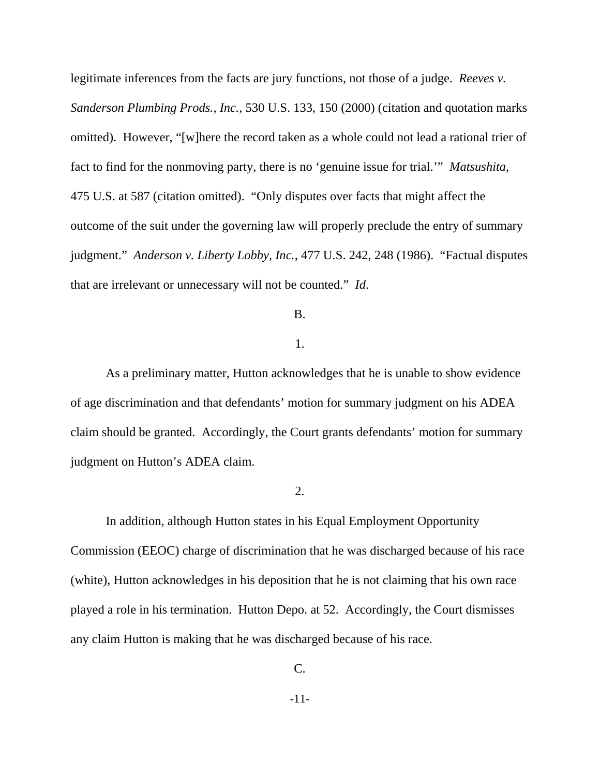legitimate inferences from the facts are jury functions, not those of a judge. *Reeves v. Sanderson Plumbing Prods., Inc.*, 530 U.S. 133, 150 (2000) (citation and quotation marks omitted). However, "[w]here the record taken as a whole could not lead a rational trier of fact to find for the nonmoving party, there is no 'genuine issue for trial.'" *Matsushita,* 475 U.S. at 587 (citation omitted). "Only disputes over facts that might affect the outcome of the suit under the governing law will properly preclude the entry of summary judgment." *Anderson v. Liberty Lobby, Inc.*, 477 U.S. 242, 248 (1986). "Factual disputes that are irrelevant or unnecessary will not be counted." *Id*.

### B.

#### 1.

As a preliminary matter, Hutton acknowledges that he is unable to show evidence of age discrimination and that defendants' motion for summary judgment on his ADEA claim should be granted. Accordingly, the Court grants defendants' motion for summary judgment on Hutton's ADEA claim.

## 2.

In addition, although Hutton states in his Equal Employment Opportunity Commission (EEOC) charge of discrimination that he was discharged because of his race (white), Hutton acknowledges in his deposition that he is not claiming that his own race played a role in his termination. Hutton Depo. at 52. Accordingly, the Court dismisses any claim Hutton is making that he was discharged because of his race.

C.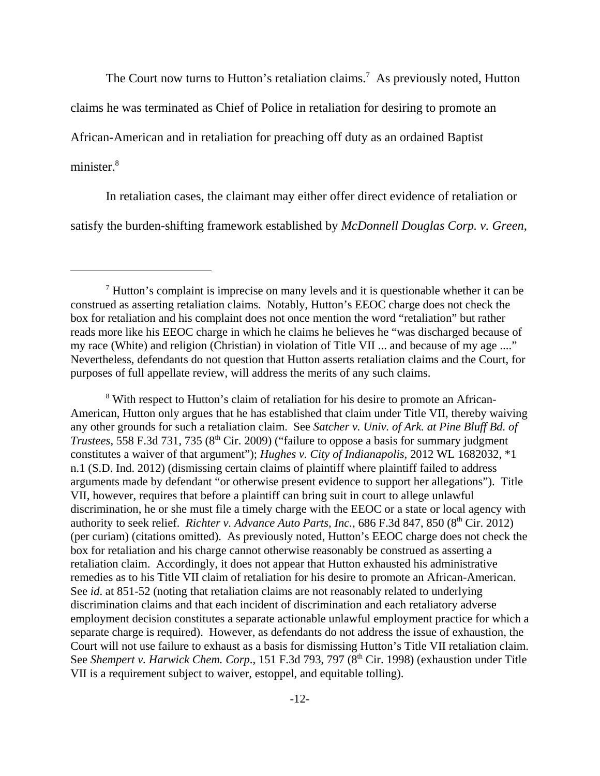The Court now turns to Hutton's retaliation claims.<sup>7</sup> As previously noted, Hutton

claims he was terminated as Chief of Police in retaliation for desiring to promote an

African-American and in retaliation for preaching off duty as an ordained Baptist

minister.<sup>8</sup>

In retaliation cases, the claimant may either offer direct evidence of retaliation or satisfy the burden-shifting framework established by *McDonnell Douglas Corp. v. Green*,

<sup>8</sup> With respect to Hutton's claim of retaliation for his desire to promote an African-American, Hutton only argues that he has established that claim under Title VII, thereby waiving any other grounds for such a retaliation claim. See *Satcher v. Univ. of Ark. at Pine Bluff Bd. of Trustees*, 558 F.3d 731, 735 (8th Cir. 2009) ("failure to oppose a basis for summary judgment constitutes a waiver of that argument"); *Hughes v. City of Indianapolis,* 2012 WL 1682032, \*1 n.1 (S.D. Ind. 2012) (dismissing certain claims of plaintiff where plaintiff failed to address arguments made by defendant "or otherwise present evidence to support her allegations"). Title VII, however, requires that before a plaintiff can bring suit in court to allege unlawful discrimination, he or she must file a timely charge with the EEOC or a state or local agency with authority to seek relief. *Richter v. Advance Auto Parts, Inc.*, 686 F.3d 847, 850 (8<sup>th</sup> Cir. 2012) (per curiam) (citations omitted). As previously noted, Hutton's EEOC charge does not check the box for retaliation and his charge cannot otherwise reasonably be construed as asserting a retaliation claim. Accordingly, it does not appear that Hutton exhausted his administrative remedies as to his Title VII claim of retaliation for his desire to promote an African-American. See *id*. at 851-52 (noting that retaliation claims are not reasonably related to underlying discrimination claims and that each incident of discrimination and each retaliatory adverse employment decision constitutes a separate actionable unlawful employment practice for which a separate charge is required). However, as defendants do not address the issue of exhaustion, the Court will not use failure to exhaust as a basis for dismissing Hutton's Title VII retaliation claim. See *Shempert v. Harwick Chem. Corp.*, 151 F.3d 793, 797 (8<sup>th</sup> Cir. 1998) (exhaustion under Title VII is a requirement subject to waiver, estoppel, and equitable tolling).

<sup>7</sup> Hutton's complaint is imprecise on many levels and it is questionable whether it can be construed as asserting retaliation claims. Notably, Hutton's EEOC charge does not check the box for retaliation and his complaint does not once mention the word "retaliation" but rather reads more like his EEOC charge in which he claims he believes he "was discharged because of my race (White) and religion (Christian) in violation of Title VII ... and because of my age ...." Nevertheless, defendants do not question that Hutton asserts retaliation claims and the Court, for purposes of full appellate review, will address the merits of any such claims.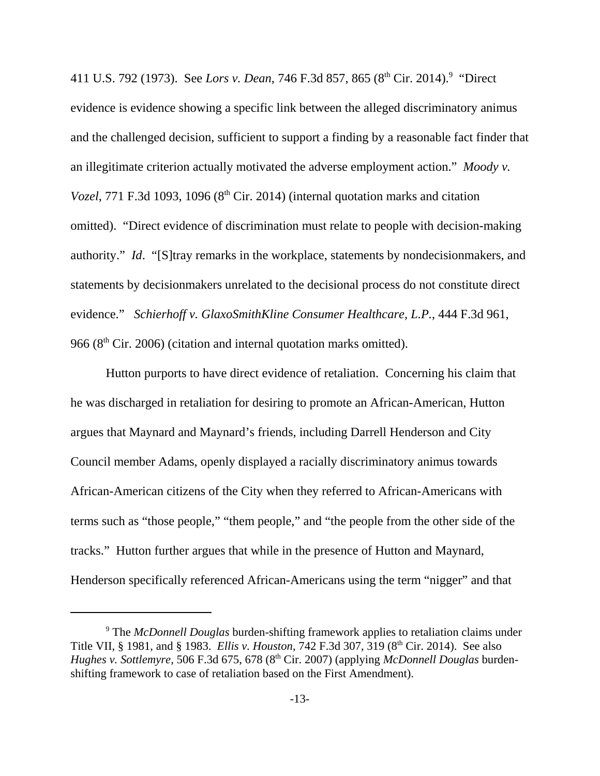411 U.S. 792 (1973). See *Lors v. Dean*, 746 F.3d 857, 865 (8<sup>th</sup> Cir. 2014).<sup>9</sup> "Direct evidence is evidence showing a specific link between the alleged discriminatory animus and the challenged decision, sufficient to support a finding by a reasonable fact finder that an illegitimate criterion actually motivated the adverse employment action." *Moody v. Vozel*, 771 F.3d 1093, 1096 (8<sup>th</sup> Cir. 2014) (internal quotation marks and citation omitted). "Direct evidence of discrimination must relate to people with decision-making authority." *Id*. "[S]tray remarks in the workplace, statements by nondecisionmakers, and statements by decisionmakers unrelated to the decisional process do not constitute direct evidence." *Schierhoff v. GlaxoSmithKline Consumer Healthcare, L.P.*, 444 F.3d 961, 966 ( $8<sup>th</sup>$  Cir. 2006) (citation and internal quotation marks omitted).

Hutton purports to have direct evidence of retaliation. Concerning his claim that he was discharged in retaliation for desiring to promote an African-American, Hutton argues that Maynard and Maynard's friends, including Darrell Henderson and City Council member Adams, openly displayed a racially discriminatory animus towards African-American citizens of the City when they referred to African-Americans with terms such as "those people," "them people," and "the people from the other side of the tracks." Hutton further argues that while in the presence of Hutton and Maynard, Henderson specifically referenced African-Americans using the term "nigger" and that

<sup>9</sup> The *McDonnell Douglas* burden-shifting framework applies to retaliation claims under Title VII, § 1981, and § 1983. *Ellis v. Houston*, 742 F.3d 307, 319 (8th Cir. 2014). See also *Hughes v. Sottlemyre*, 506 F.3d 675, 678 (8<sup>th</sup> Cir. 2007) (applying *McDonnell Douglas* burdenshifting framework to case of retaliation based on the First Amendment).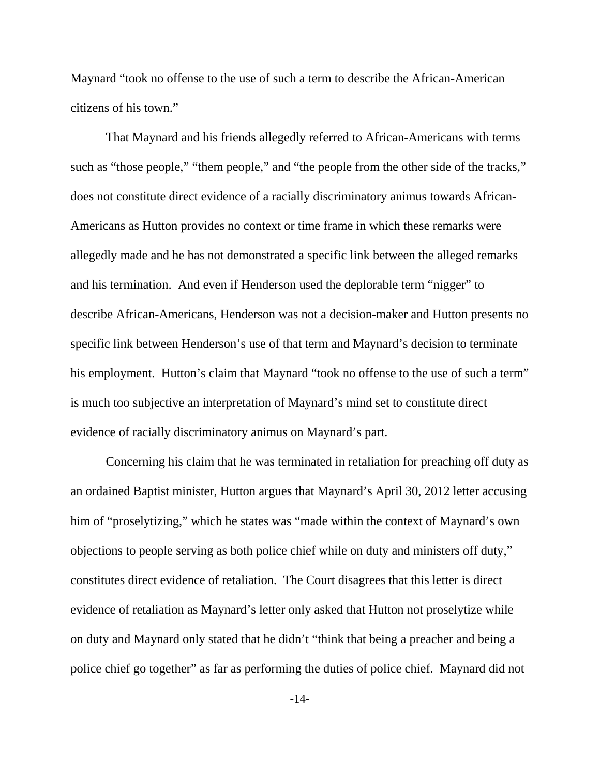Maynard "took no offense to the use of such a term to describe the African-American citizens of his town."

That Maynard and his friends allegedly referred to African-Americans with terms such as "those people," "them people," and "the people from the other side of the tracks," does not constitute direct evidence of a racially discriminatory animus towards African-Americans as Hutton provides no context or time frame in which these remarks were allegedly made and he has not demonstrated a specific link between the alleged remarks and his termination. And even if Henderson used the deplorable term "nigger" to describe African-Americans, Henderson was not a decision-maker and Hutton presents no specific link between Henderson's use of that term and Maynard's decision to terminate his employment. Hutton's claim that Maynard "took no offense to the use of such a term" is much too subjective an interpretation of Maynard's mind set to constitute direct evidence of racially discriminatory animus on Maynard's part.

Concerning his claim that he was terminated in retaliation for preaching off duty as an ordained Baptist minister, Hutton argues that Maynard's April 30, 2012 letter accusing him of "proselytizing," which he states was "made within the context of Maynard's own objections to people serving as both police chief while on duty and ministers off duty," constitutes direct evidence of retaliation. The Court disagrees that this letter is direct evidence of retaliation as Maynard's letter only asked that Hutton not proselytize while on duty and Maynard only stated that he didn't "think that being a preacher and being a police chief go together" as far as performing the duties of police chief. Maynard did not

-14-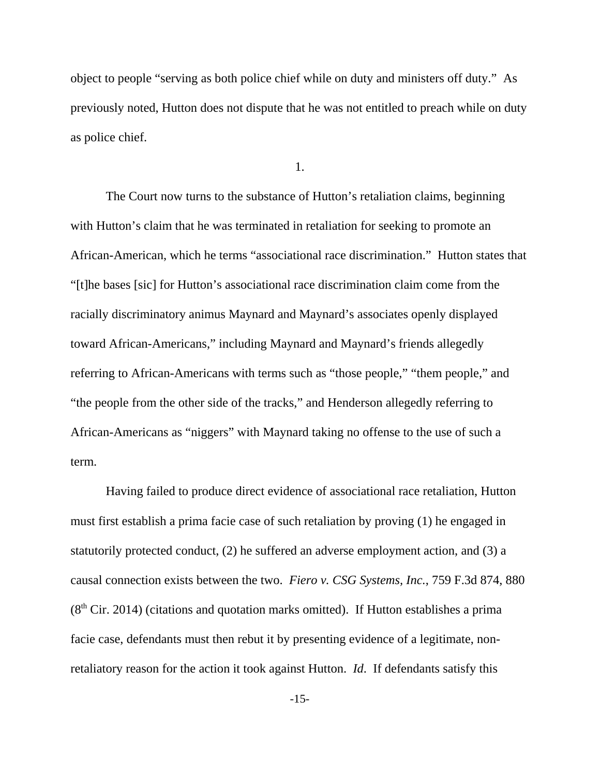object to people "serving as both police chief while on duty and ministers off duty." As previously noted, Hutton does not dispute that he was not entitled to preach while on duty as police chief.

1.

 The Court now turns to the substance of Hutton's retaliation claims, beginning with Hutton's claim that he was terminated in retaliation for seeking to promote an African-American, which he terms "associational race discrimination." Hutton states that "[t]he bases [sic] for Hutton's associational race discrimination claim come from the racially discriminatory animus Maynard and Maynard's associates openly displayed toward African-Americans," including Maynard and Maynard's friends allegedly referring to African-Americans with terms such as "those people," "them people," and "the people from the other side of the tracks," and Henderson allegedly referring to African-Americans as "niggers" with Maynard taking no offense to the use of such a term.

Having failed to produce direct evidence of associational race retaliation, Hutton must first establish a prima facie case of such retaliation by proving (1) he engaged in statutorily protected conduct, (2) he suffered an adverse employment action, and (3) a causal connection exists between the two. *Fiero v. CSG Systems, Inc.*, 759 F.3d 874, 880  $(8<sup>th</sup> Cir. 2014)$  (citations and quotation marks omitted). If Hutton establishes a prima facie case, defendants must then rebut it by presenting evidence of a legitimate, nonretaliatory reason for the action it took against Hutton. *Id*. If defendants satisfy this

-15-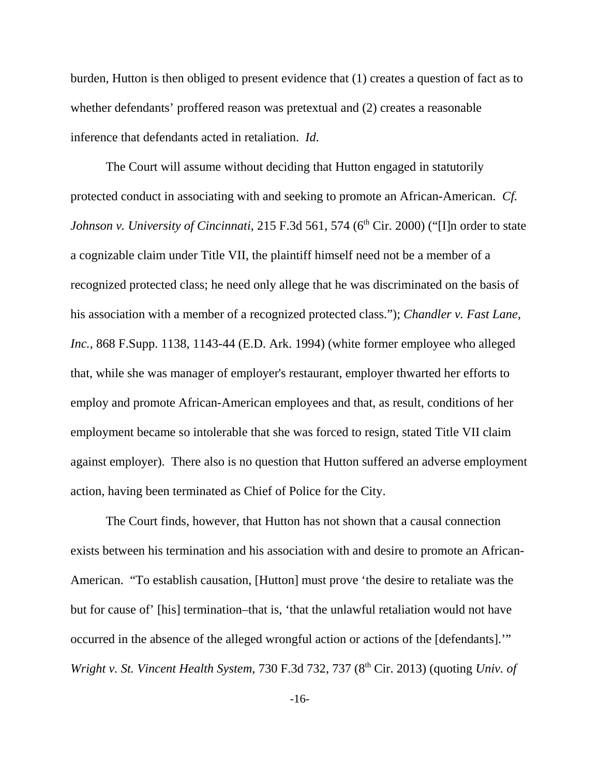burden, Hutton is then obliged to present evidence that (1) creates a question of fact as to whether defendants' proffered reason was pretextual and (2) creates a reasonable inference that defendants acted in retaliation. *Id*.

The Court will assume without deciding that Hutton engaged in statutorily protected conduct in associating with and seeking to promote an African-American. *Cf. Johnson v. University of Cincinnati,* 215 F.3d 561, 574 (6<sup>th</sup> Cir. 2000) ("[I]n order to state a cognizable claim under Title VII, the plaintiff himself need not be a member of a recognized protected class; he need only allege that he was discriminated on the basis of his association with a member of a recognized protected class."); *Chandler v. Fast Lane, Inc.*, 868 F.Supp. 1138, 1143-44 (E.D. Ark. 1994) (white former employee who alleged that, while she was manager of employer's restaurant, employer thwarted her efforts to employ and promote African-American employees and that, as result, conditions of her employment became so intolerable that she was forced to resign, stated Title VII claim against employer). There also is no question that Hutton suffered an adverse employment action, having been terminated as Chief of Police for the City.

The Court finds, however, that Hutton has not shown that a causal connection exists between his termination and his association with and desire to promote an African-American. "To establish causation, [Hutton] must prove 'the desire to retaliate was the but for cause of' [his] termination–that is, 'that the unlawful retaliation would not have occurred in the absence of the alleged wrongful action or actions of the [defendants].'" *Wright v. St. Vincent Health System, 730 F.3d 732, 737 (8<sup>th</sup> Cir. 2013) (quoting Univ. of* 

-16-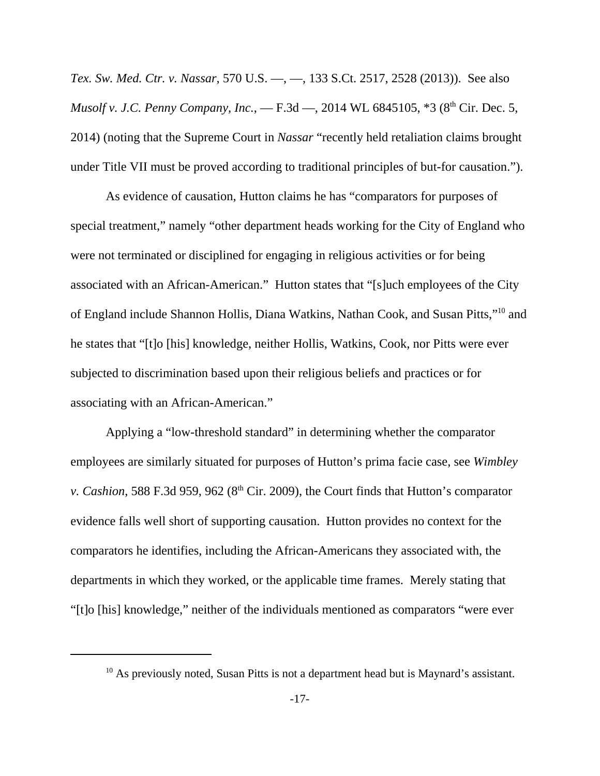*Tex. Sw. Med. Ctr. v. Nassar,* 570 U.S. —, —, 133 S.Ct. 2517, 2528 (2013)). See also *Musolf v. J.C. Penny Company, Inc.*, — F.3d —, 2014 WL 6845105, \*3 (8<sup>th</sup> Cir. Dec. 5, 2014) (noting that the Supreme Court in *Nassar* "recently held retaliation claims brought under Title VII must be proved according to traditional principles of but-for causation.").

As evidence of causation, Hutton claims he has "comparators for purposes of special treatment," namely "other department heads working for the City of England who were not terminated or disciplined for engaging in religious activities or for being associated with an African-American." Hutton states that "[s]uch employees of the City of England include Shannon Hollis, Diana Watkins, Nathan Cook, and Susan Pitts,"<sup>10</sup> and he states that "[t]o [his] knowledge, neither Hollis, Watkins, Cook, nor Pitts were ever subjected to discrimination based upon their religious beliefs and practices or for associating with an African-American."

Applying a "low-threshold standard" in determining whether the comparator employees are similarly situated for purposes of Hutton's prima facie case, see *Wimbley v. Cashion,* 588 F.3d 959, 962 ( $8<sup>th</sup>$  Cir. 2009), the Court finds that Hutton's comparator evidence falls well short of supporting causation. Hutton provides no context for the comparators he identifies, including the African-Americans they associated with, the departments in which they worked, or the applicable time frames. Merely stating that "[t]o [his] knowledge," neither of the individuals mentioned as comparators "were ever

<sup>&</sup>lt;sup>10</sup> As previously noted, Susan Pitts is not a department head but is Maynard's assistant.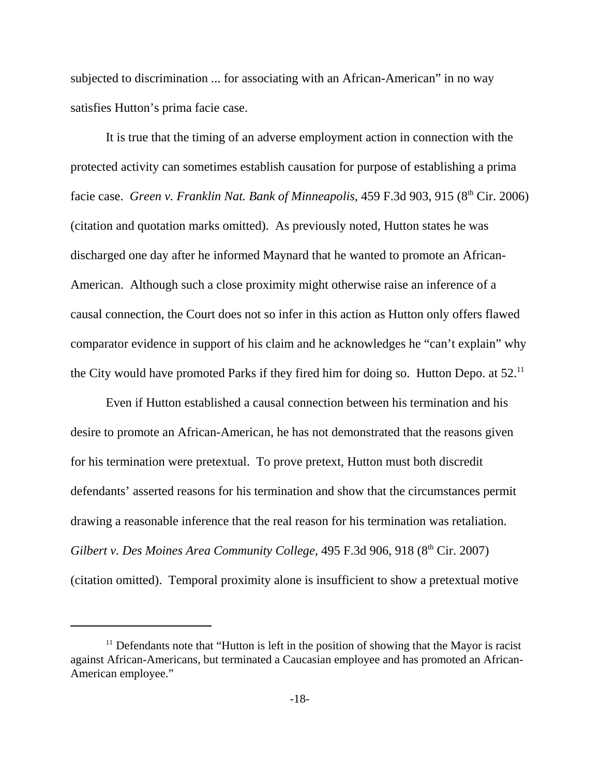subjected to discrimination ... for associating with an African-American" in no way satisfies Hutton's prima facie case.

It is true that the timing of an adverse employment action in connection with the protected activity can sometimes establish causation for purpose of establishing a prima facie case. *Green v. Franklin Nat. Bank of Minneapolis*, 459 F.3d 903, 915 (8<sup>th</sup> Cir. 2006) (citation and quotation marks omitted). As previously noted, Hutton states he was discharged one day after he informed Maynard that he wanted to promote an African-American. Although such a close proximity might otherwise raise an inference of a causal connection, the Court does not so infer in this action as Hutton only offers flawed comparator evidence in support of his claim and he acknowledges he "can't explain" why the City would have promoted Parks if they fired him for doing so. Hutton Depo. at  $52$ .<sup>11</sup>

Even if Hutton established a causal connection between his termination and his desire to promote an African-American, he has not demonstrated that the reasons given for his termination were pretextual. To prove pretext, Hutton must both discredit defendants' asserted reasons for his termination and show that the circumstances permit drawing a reasonable inference that the real reason for his termination was retaliation. *Gilbert v. Des Moines Area Community College*, 495 F.3d 906, 918 (8<sup>th</sup> Cir. 2007) (citation omitted). Temporal proximity alone is insufficient to show a pretextual motive

 $11$  Defendants note that "Hutton is left in the position of showing that the Mayor is racist against African-Americans, but terminated a Caucasian employee and has promoted an African-American employee."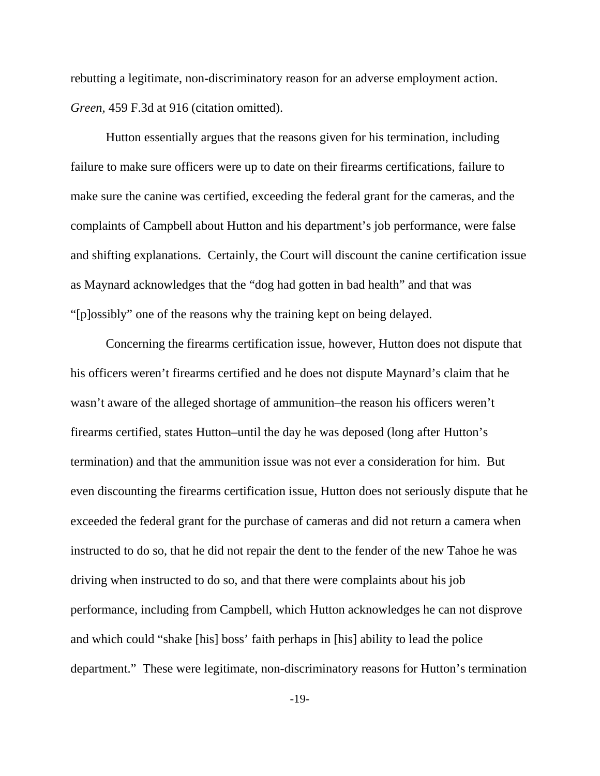rebutting a legitimate, non-discriminatory reason for an adverse employment action. *Green,* 459 F.3d at 916 (citation omitted).

Hutton essentially argues that the reasons given for his termination, including failure to make sure officers were up to date on their firearms certifications, failure to make sure the canine was certified, exceeding the federal grant for the cameras, and the complaints of Campbell about Hutton and his department's job performance, were false and shifting explanations. Certainly, the Court will discount the canine certification issue as Maynard acknowledges that the "dog had gotten in bad health" and that was "[p]ossibly" one of the reasons why the training kept on being delayed.

Concerning the firearms certification issue, however, Hutton does not dispute that his officers weren't firearms certified and he does not dispute Maynard's claim that he wasn't aware of the alleged shortage of ammunition–the reason his officers weren't firearms certified, states Hutton–until the day he was deposed (long after Hutton's termination) and that the ammunition issue was not ever a consideration for him. But even discounting the firearms certification issue, Hutton does not seriously dispute that he exceeded the federal grant for the purchase of cameras and did not return a camera when instructed to do so, that he did not repair the dent to the fender of the new Tahoe he was driving when instructed to do so, and that there were complaints about his job performance, including from Campbell, which Hutton acknowledges he can not disprove and which could "shake [his] boss' faith perhaps in [his] ability to lead the police department." These were legitimate, non-discriminatory reasons for Hutton's termination

-19-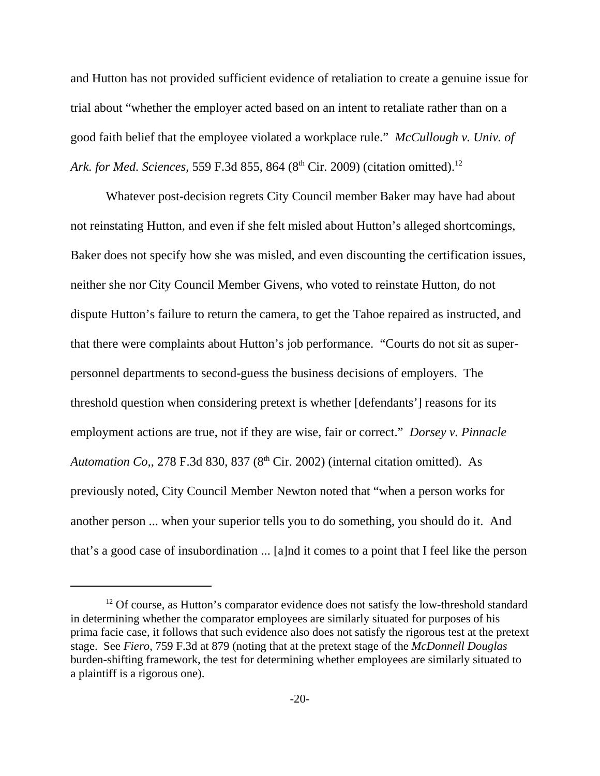and Hutton has not provided sufficient evidence of retaliation to create a genuine issue for trial about "whether the employer acted based on an intent to retaliate rather than on a good faith belief that the employee violated a workplace rule." *McCullough v. Univ. of Ark. for Med. Sciences*, 559 F.3d 855, 864 (8<sup>th</sup> Cir. 2009) (citation omitted).<sup>12</sup>

Whatever post-decision regrets City Council member Baker may have had about not reinstating Hutton, and even if she felt misled about Hutton's alleged shortcomings, Baker does not specify how she was misled, and even discounting the certification issues, neither she nor City Council Member Givens, who voted to reinstate Hutton, do not dispute Hutton's failure to return the camera, to get the Tahoe repaired as instructed, and that there were complaints about Hutton's job performance. "Courts do not sit as superpersonnel departments to second-guess the business decisions of employers. The threshold question when considering pretext is whether [defendants'] reasons for its employment actions are true, not if they are wise, fair or correct." *Dorsey v. Pinnacle Automation Co,, 278 F.3d 830, 837 (8<sup>th</sup> Cir. 2002) (internal citation omitted). As* previously noted, City Council Member Newton noted that "when a person works for another person ... when your superior tells you to do something, you should do it. And that's a good case of insubordination ... [a]nd it comes to a point that I feel like the person

 $12$  Of course, as Hutton's comparator evidence does not satisfy the low-threshold standard in determining whether the comparator employees are similarly situated for purposes of his prima facie case, it follows that such evidence also does not satisfy the rigorous test at the pretext stage. See *Fiero*, 759 F.3d at 879 (noting that at the pretext stage of the *McDonnell Douglas* burden-shifting framework, the test for determining whether employees are similarly situated to a plaintiff is a rigorous one).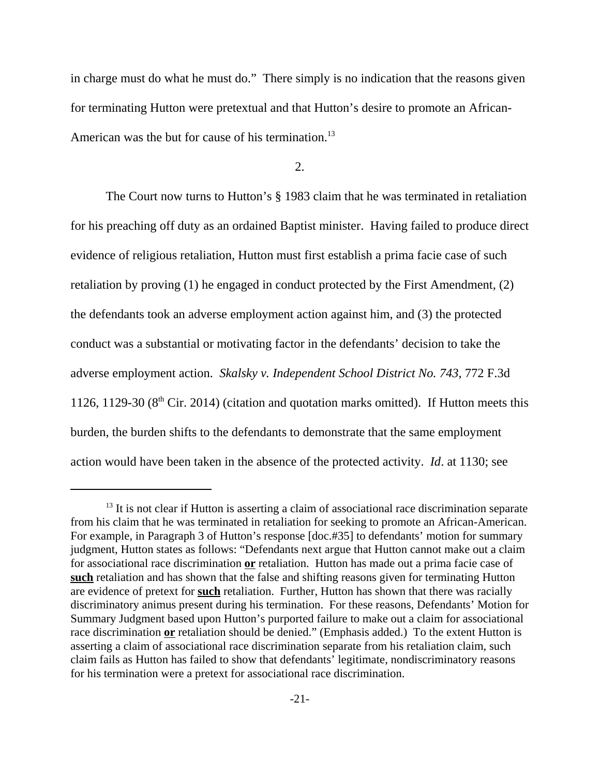in charge must do what he must do." There simply is no indication that the reasons given for terminating Hutton were pretextual and that Hutton's desire to promote an African-American was the but for cause of his termination.<sup>13</sup>

2.

The Court now turns to Hutton's § 1983 claim that he was terminated in retaliation for his preaching off duty as an ordained Baptist minister. Having failed to produce direct evidence of religious retaliation, Hutton must first establish a prima facie case of such retaliation by proving (1) he engaged in conduct protected by the First Amendment, (2) the defendants took an adverse employment action against him, and (3) the protected conduct was a substantial or motivating factor in the defendants' decision to take the adverse employment action. *Skalsky v. Independent School District No. 743*, 772 F.3d 1126, 1129-30 ( $8<sup>th</sup>$  Cir. 2014) (citation and quotation marks omitted). If Hutton meets this burden, the burden shifts to the defendants to demonstrate that the same employment action would have been taken in the absence of the protected activity. *Id*. at 1130; see

 $13$  It is not clear if Hutton is asserting a claim of associational race discrimination separate from his claim that he was terminated in retaliation for seeking to promote an African-American. For example, in Paragraph 3 of Hutton's response [doc.#35] to defendants' motion for summary judgment, Hutton states as follows: "Defendants next argue that Hutton cannot make out a claim for associational race discrimination **or** retaliation. Hutton has made out a prima facie case of **such** retaliation and has shown that the false and shifting reasons given for terminating Hutton are evidence of pretext for **such** retaliation. Further, Hutton has shown that there was racially discriminatory animus present during his termination. For these reasons, Defendants' Motion for Summary Judgment based upon Hutton's purported failure to make out a claim for associational race discrimination **or** retaliation should be denied." (Emphasis added.) To the extent Hutton is asserting a claim of associational race discrimination separate from his retaliation claim, such claim fails as Hutton has failed to show that defendants' legitimate, nondiscriminatory reasons for his termination were a pretext for associational race discrimination.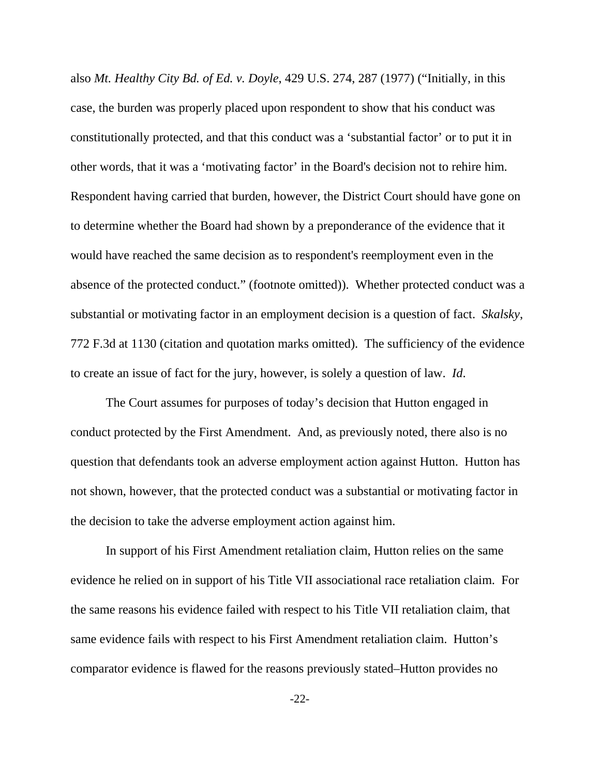also *Mt. Healthy City Bd. of Ed. v. Doyle*, 429 U.S. 274, 287 (1977) ("Initially, in this case, the burden was properly placed upon respondent to show that his conduct was constitutionally protected, and that this conduct was a 'substantial factor' or to put it in other words, that it was a 'motivating factor' in the Board's decision not to rehire him. Respondent having carried that burden, however, the District Court should have gone on to determine whether the Board had shown by a preponderance of the evidence that it would have reached the same decision as to respondent's reemployment even in the absence of the protected conduct." (footnote omitted)). Whether protected conduct was a substantial or motivating factor in an employment decision is a question of fact. *Skalsky*, 772 F.3d at 1130 (citation and quotation marks omitted). The sufficiency of the evidence to create an issue of fact for the jury, however, is solely a question of law. *Id*.

The Court assumes for purposes of today's decision that Hutton engaged in conduct protected by the First Amendment. And, as previously noted, there also is no question that defendants took an adverse employment action against Hutton. Hutton has not shown, however, that the protected conduct was a substantial or motivating factor in the decision to take the adverse employment action against him.

In support of his First Amendment retaliation claim, Hutton relies on the same evidence he relied on in support of his Title VII associational race retaliation claim. For the same reasons his evidence failed with respect to his Title VII retaliation claim, that same evidence fails with respect to his First Amendment retaliation claim. Hutton's comparator evidence is flawed for the reasons previously stated–Hutton provides no

-22-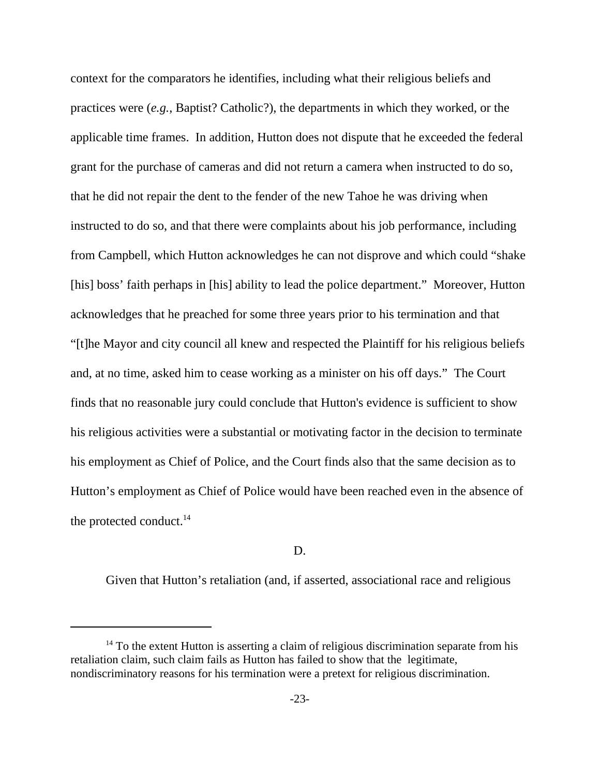context for the comparators he identifies, including what their religious beliefs and practices were (*e.g.*, Baptist? Catholic?), the departments in which they worked, or the applicable time frames. In addition, Hutton does not dispute that he exceeded the federal grant for the purchase of cameras and did not return a camera when instructed to do so, that he did not repair the dent to the fender of the new Tahoe he was driving when instructed to do so, and that there were complaints about his job performance, including from Campbell, which Hutton acknowledges he can not disprove and which could "shake [his] boss' faith perhaps in [his] ability to lead the police department." Moreover, Hutton acknowledges that he preached for some three years prior to his termination and that "[t]he Mayor and city council all knew and respected the Plaintiff for his religious beliefs and, at no time, asked him to cease working as a minister on his off days." The Court finds that no reasonable jury could conclude that Hutton's evidence is sufficient to show his religious activities were a substantial or motivating factor in the decision to terminate his employment as Chief of Police, and the Court finds also that the same decision as to Hutton's employment as Chief of Police would have been reached even in the absence of the protected conduct.<sup>14</sup>

## D.

Given that Hutton's retaliation (and, if asserted, associational race and religious

 $14$  To the extent Hutton is asserting a claim of religious discrimination separate from his retaliation claim, such claim fails as Hutton has failed to show that the legitimate, nondiscriminatory reasons for his termination were a pretext for religious discrimination.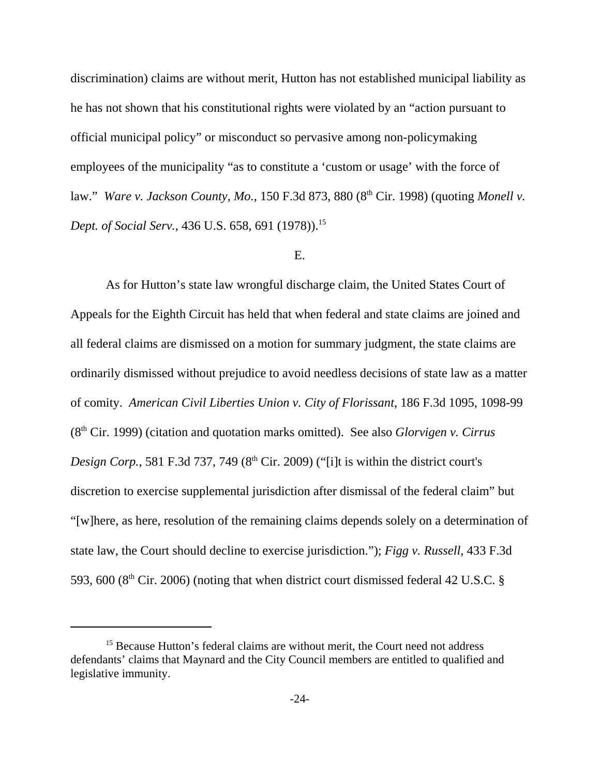discrimination) claims are without merit, Hutton has not established municipal liability as he has not shown that his constitutional rights were violated by an "action pursuant to official municipal policy" or misconduct so pervasive among non-policymaking employees of the municipality "as to constitute a 'custom or usage' with the force of law." *Ware v. Jackson County, Mo., 150 F.3d 873, 880 (8<sup>th</sup> Cir. 1998) (quoting Monell v. Dept. of Social Serv.*, 436 U.S. 658, 691 (1978)).<sup>15</sup>

### E.

As for Hutton's state law wrongful discharge claim, the United States Court of Appeals for the Eighth Circuit has held that when federal and state claims are joined and all federal claims are dismissed on a motion for summary judgment, the state claims are ordinarily dismissed without prejudice to avoid needless decisions of state law as a matter of comity. *American Civil Liberties Union v. City of Florissant*, 186 F.3d 1095, 1098-99 (8th Cir. 1999) (citation and quotation marks omitted). See also *Glorvigen v. Cirrus Design Corp.*, 581 F.3d 737, 749 (8<sup>th</sup> Cir. 2009) ("[i]t is within the district court's discretion to exercise supplemental jurisdiction after dismissal of the federal claim" but "[w]here, as here, resolution of the remaining claims depends solely on a determination of state law, the Court should decline to exercise jurisdiction."); *Figg v. Russell*, 433 F.3d 593, 600 ( $8<sup>th</sup>$  Cir. 2006) (noting that when district court dismissed federal 42 U.S.C. §

<sup>&</sup>lt;sup>15</sup> Because Hutton's federal claims are without merit, the Court need not address defendants' claims that Maynard and the City Council members are entitled to qualified and legislative immunity.